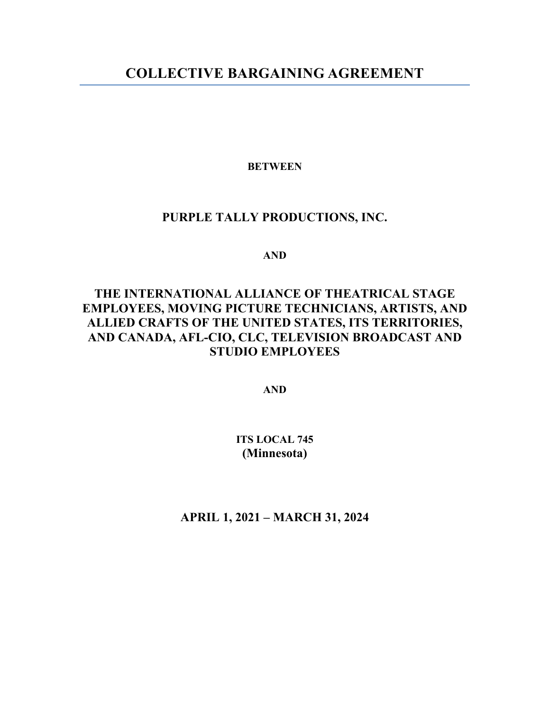## **COLLECTIVE BARGAINING AGREEMENT**

#### **BETWEEN**

#### **PURPLE TALLY PRODUCTIONS, INC.**

**AND**

## **THE INTERNATIONAL ALLIANCE OF THEATRICAL STAGE EMPLOYEES, MOVING PICTURE TECHNICIANS, ARTISTS, AND ALLIED CRAFTS OF THE UNITED STATES, ITS TERRITORIES, AND CANADA, AFL-CIO, CLC, TELEVISION BROADCAST AND STUDIO EMPLOYEES**

**AND**

#### **ITS LOCAL 745 (Minnesota)**

**APRIL 1, 2021 – MARCH 31, 2024**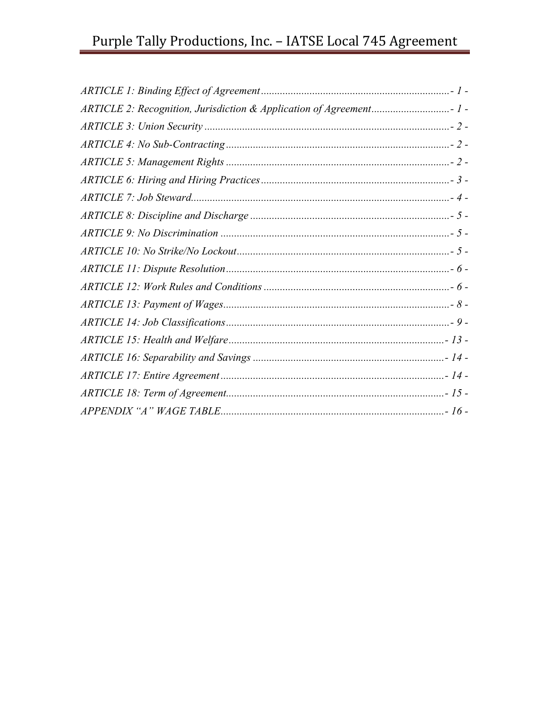# Purple Tally Productions, Inc. - IATSE Local 745 Agreement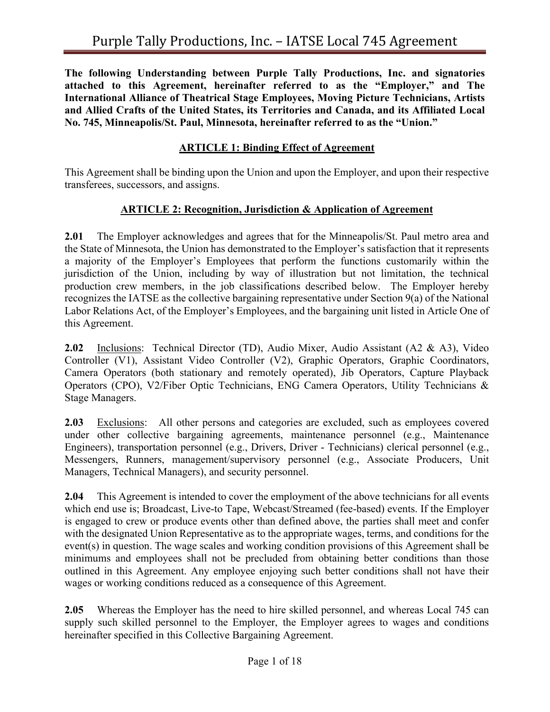**The following Understanding between Purple Tally Productions, Inc. and signatories attached to this Agreement, hereinafter referred to as the "Employer," and The International Alliance of Theatrical Stage Employees, Moving Picture Technicians, Artists and Allied Crafts of the United States, its Territories and Canada, and its Affiliated Local No. 745, Minneapolis/St. Paul, Minnesota, hereinafter referred to as the "Union."**

#### **ARTICLE 1: Binding Effect of Agreement**

This Agreement shall be binding upon the Union and upon the Employer, and upon their respective transferees, successors, and assigns.

#### **ARTICLE 2: Recognition, Jurisdiction & Application of Agreement**

**2.01** The Employer acknowledges and agrees that for the Minneapolis/St. Paul metro area and the State of Minnesota, the Union has demonstrated to the Employer's satisfaction that it represents a majority of the Employer's Employees that perform the functions customarily within the jurisdiction of the Union, including by way of illustration but not limitation, the technical production crew members, in the job classifications described below. The Employer hereby recognizes the IATSE as the collective bargaining representative under Section 9(a) of the National Labor Relations Act, of the Employer's Employees, and the bargaining unit listed in Article One of this Agreement.

**2.02** Inclusions: Technical Director (TD), Audio Mixer, Audio Assistant (A2 & A3), Video Controller (V1), Assistant Video Controller (V2), Graphic Operators, Graphic Coordinators, Camera Operators (both stationary and remotely operated), Jib Operators, Capture Playback Operators (CPO), V2/Fiber Optic Technicians, ENG Camera Operators, Utility Technicians & Stage Managers.

**2.03** Exclusions: All other persons and categories are excluded, such as employees covered under other collective bargaining agreements, maintenance personnel (e.g., Maintenance Engineers), transportation personnel (e.g., Drivers, Driver - Technicians) clerical personnel (e.g., Messengers, Runners, management/supervisory personnel (e.g., Associate Producers, Unit Managers, Technical Managers), and security personnel.

**2.04** This Agreement is intended to cover the employment of the above technicians for all events which end use is; Broadcast, Live-to Tape, Webcast/Streamed (fee-based) events. If the Employer is engaged to crew or produce events other than defined above, the parties shall meet and confer with the designated Union Representative as to the appropriate wages, terms, and conditions for the event(s) in question. The wage scales and working condition provisions of this Agreement shall be minimums and employees shall not be precluded from obtaining better conditions than those outlined in this Agreement. Any employee enjoying such better conditions shall not have their wages or working conditions reduced as a consequence of this Agreement.

**2.05** Whereas the Employer has the need to hire skilled personnel, and whereas Local 745 can supply such skilled personnel to the Employer, the Employer agrees to wages and conditions hereinafter specified in this Collective Bargaining Agreement.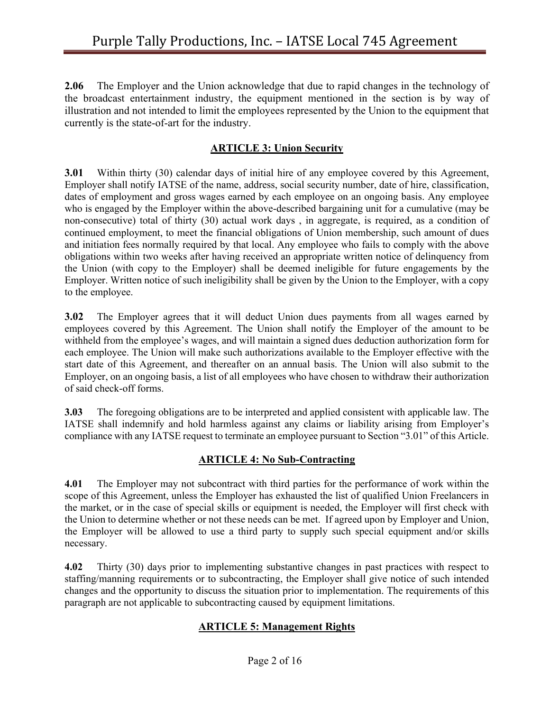**2.06** The Employer and the Union acknowledge that due to rapid changes in the technology of the broadcast entertainment industry, the equipment mentioned in the section is by way of illustration and not intended to limit the employees represented by the Union to the equipment that currently is the state-of-art for the industry.

### **ARTICLE 3: Union Security**

**3.01** Within thirty (30) calendar days of initial hire of any employee covered by this Agreement, Employer shall notify IATSE of the name, address, social security number, date of hire, classification, dates of employment and gross wages earned by each employee on an ongoing basis. Any employee who is engaged by the Employer within the above-described bargaining unit for a cumulative (may be non-consecutive) total of thirty (30) actual work days , in aggregate, is required, as a condition of continued employment, to meet the financial obligations of Union membership, such amount of dues and initiation fees normally required by that local. Any employee who fails to comply with the above obligations within two weeks after having received an appropriate written notice of delinquency from the Union (with copy to the Employer) shall be deemed ineligible for future engagements by the Employer. Written notice of such ineligibility shall be given by the Union to the Employer, with a copy to the employee.

**3.02** The Employer agrees that it will deduct Union dues payments from all wages earned by employees covered by this Agreement. The Union shall notify the Employer of the amount to be withheld from the employee's wages, and will maintain a signed dues deduction authorization form for each employee. The Union will make such authorizations available to the Employer effective with the start date of this Agreement, and thereafter on an annual basis. The Union will also submit to the Employer, on an ongoing basis, a list of all employees who have chosen to withdraw their authorization of said check-off forms.

**3.03** The foregoing obligations are to be interpreted and applied consistent with applicable law. The IATSE shall indemnify and hold harmless against any claims or liability arising from Employer's compliance with any IATSE request to terminate an employee pursuant to Section "3.01" of this Article.

#### **ARTICLE 4: No Sub-Contracting**

**4.01** The Employer may not subcontract with third parties for the performance of work within the scope of this Agreement, unless the Employer has exhausted the list of qualified Union Freelancers in the market, or in the case of special skills or equipment is needed, the Employer will first check with the Union to determine whether or not these needs can be met. If agreed upon by Employer and Union, the Employer will be allowed to use a third party to supply such special equipment and/or skills necessary.

**4.02** Thirty (30) days prior to implementing substantive changes in past practices with respect to staffing/manning requirements or to subcontracting, the Employer shall give notice of such intended changes and the opportunity to discuss the situation prior to implementation. The requirements of this paragraph are not applicable to subcontracting caused by equipment limitations.

## **ARTICLE 5: Management Rights**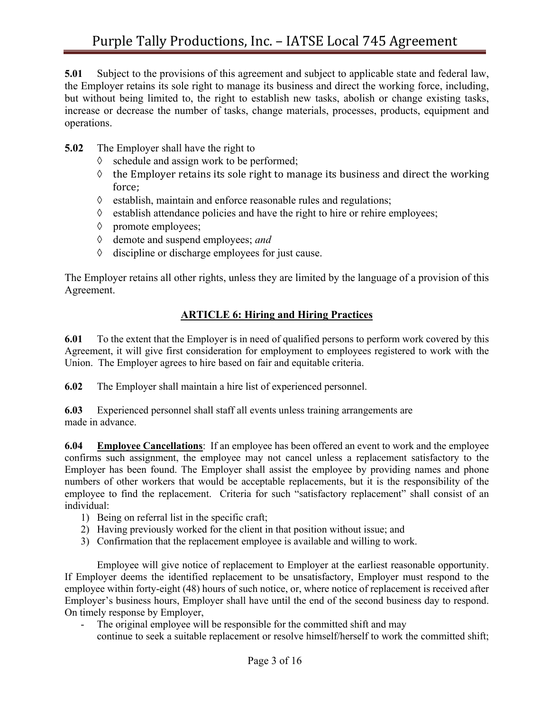**5.01** Subject to the provisions of this agreement and subject to applicable state and federal law, the Employer retains its sole right to manage its business and direct the working force, including, but without being limited to, the right to establish new tasks, abolish or change existing tasks, increase or decrease the number of tasks, change materials, processes, products, equipment and operations.

- **5.02** The Employer shall have the right to
	- $\Diamond$  schedule and assign work to be performed;
	- $\Diamond$  the Employer retains its sole right to manage its business and direct the working force;
	- $\Diamond$  establish, maintain and enforce reasonable rules and regulations;
	- $\Diamond$  establish attendance policies and have the right to hire or rehire employees;
	- à promote employees;
	- à demote and suspend employees; *and*
	- $\Diamond$  discipline or discharge employees for just cause.

The Employer retains all other rights, unless they are limited by the language of a provision of this Agreement.

#### **ARTICLE 6: Hiring and Hiring Practices**

**6.01** To the extent that the Employer is in need of qualified persons to perform work covered by this Agreement, it will give first consideration for employment to employees registered to work with the Union. The Employer agrees to hire based on fair and equitable criteria.

**6.02** The Employer shall maintain a hire list of experienced personnel.

**6.03** Experienced personnel shall staff all events unless training arrangements are made in advance.

**6.04 Employee Cancellations**: If an employee has been offered an event to work and the employee confirms such assignment, the employee may not cancel unless a replacement satisfactory to the Employer has been found. The Employer shall assist the employee by providing names and phone numbers of other workers that would be acceptable replacements, but it is the responsibility of the employee to find the replacement. Criteria for such "satisfactory replacement" shall consist of an individual:

- 1) Being on referral list in the specific craft;
- 2) Having previously worked for the client in that position without issue; and
- 3) Confirmation that the replacement employee is available and willing to work.

Employee will give notice of replacement to Employer at the earliest reasonable opportunity. If Employer deems the identified replacement to be unsatisfactory, Employer must respond to the employee within forty-eight (48) hours of such notice, or, where notice of replacement is received after Employer's business hours, Employer shall have until the end of the second business day to respond. On timely response by Employer,

The original employee will be responsible for the committed shift and may

continue to seek a suitable replacement or resolve himself/herself to work the committed shift;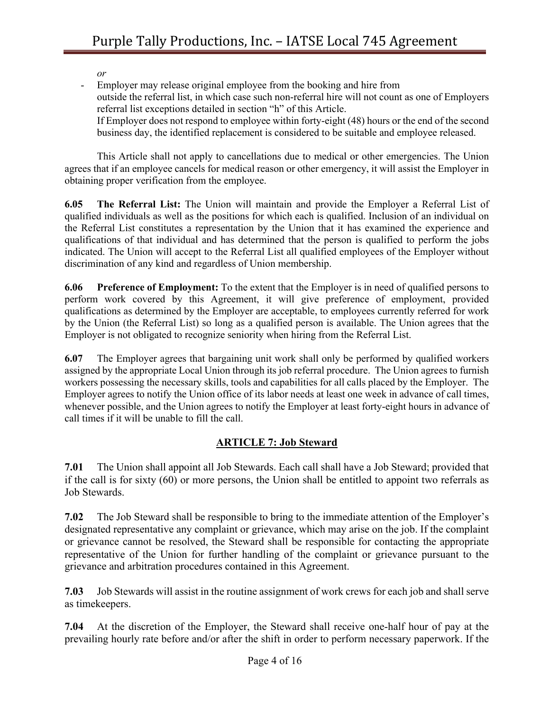*or*

Employer may release original employee from the booking and hire from outside the referral list, in which case such non-referral hire will not count as one of Employers referral list exceptions detailed in section "h" of this Article. If Employer does not respond to employee within forty-eight (48) hours or the end of the second business day, the identified replacement is considered to be suitable and employee released.

This Article shall not apply to cancellations due to medical or other emergencies. The Union agrees that if an employee cancels for medical reason or other emergency, it will assist the Employer in obtaining proper verification from the employee.

**6.05 The Referral List:** The Union will maintain and provide the Employer a Referral List of qualified individuals as well as the positions for which each is qualified. Inclusion of an individual on the Referral List constitutes a representation by the Union that it has examined the experience and qualifications of that individual and has determined that the person is qualified to perform the jobs indicated. The Union will accept to the Referral List all qualified employees of the Employer without discrimination of any kind and regardless of Union membership.

**6.06 Preference of Employment:** To the extent that the Employer is in need of qualified persons to perform work covered by this Agreement, it will give preference of employment, provided qualifications as determined by the Employer are acceptable, to employees currently referred for work by the Union (the Referral List) so long as a qualified person is available. The Union agrees that the Employer is not obligated to recognize seniority when hiring from the Referral List.

**6.07** The Employer agrees that bargaining unit work shall only be performed by qualified workers assigned by the appropriate Local Union through its job referral procedure. The Union agrees to furnish workers possessing the necessary skills, tools and capabilities for all calls placed by the Employer. The Employer agrees to notify the Union office of its labor needs at least one week in advance of call times, whenever possible, and the Union agrees to notify the Employer at least forty-eight hours in advance of call times if it will be unable to fill the call.

## **ARTICLE 7: Job Steward**

**7.01** The Union shall appoint all Job Stewards. Each call shall have a Job Steward; provided that if the call is for sixty (60) or more persons, the Union shall be entitled to appoint two referrals as Job Stewards.

**7.02** The Job Steward shall be responsible to bring to the immediate attention of the Employer's designated representative any complaint or grievance, which may arise on the job. If the complaint or grievance cannot be resolved, the Steward shall be responsible for contacting the appropriate representative of the Union for further handling of the complaint or grievance pursuant to the grievance and arbitration procedures contained in this Agreement.

**7.03** Job Stewards will assist in the routine assignment of work crews for each job and shall serve as timekeepers.

**7.04** At the discretion of the Employer, the Steward shall receive one-half hour of pay at the prevailing hourly rate before and/or after the shift in order to perform necessary paperwork. If the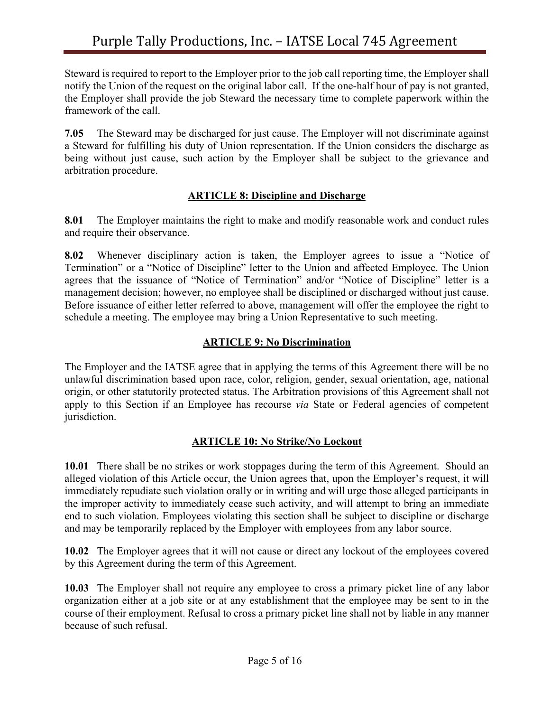Steward is required to report to the Employer prior to the job call reporting time, the Employer shall notify the Union of the request on the original labor call. If the one-half hour of pay is not granted, the Employer shall provide the job Steward the necessary time to complete paperwork within the framework of the call.

**7.05** The Steward may be discharged for just cause. The Employer will not discriminate against a Steward for fulfilling his duty of Union representation. If the Union considers the discharge as being without just cause, such action by the Employer shall be subject to the grievance and arbitration procedure.

#### **ARTICLE 8: Discipline and Discharge**

**8.01** The Employer maintains the right to make and modify reasonable work and conduct rules and require their observance.

**8.02** Whenever disciplinary action is taken, the Employer agrees to issue a "Notice of Termination" or a "Notice of Discipline" letter to the Union and affected Employee. The Union agrees that the issuance of "Notice of Termination" and/or "Notice of Discipline" letter is a management decision; however, no employee shall be disciplined or discharged without just cause. Before issuance of either letter referred to above, management will offer the employee the right to schedule a meeting. The employee may bring a Union Representative to such meeting.

#### **ARTICLE 9: No Discrimination**

The Employer and the IATSE agree that in applying the terms of this Agreement there will be no unlawful discrimination based upon race, color, religion, gender, sexual orientation, age, national origin, or other statutorily protected status. The Arbitration provisions of this Agreement shall not apply to this Section if an Employee has recourse *via* State or Federal agencies of competent jurisdiction.

#### **ARTICLE 10: No Strike/No Lockout**

**10.01** There shall be no strikes or work stoppages during the term of this Agreement. Should an alleged violation of this Article occur, the Union agrees that, upon the Employer's request, it will immediately repudiate such violation orally or in writing and will urge those alleged participants in the improper activity to immediately cease such activity, and will attempt to bring an immediate end to such violation. Employees violating this section shall be subject to discipline or discharge and may be temporarily replaced by the Employer with employees from any labor source.

**10.02** The Employer agrees that it will not cause or direct any lockout of the employees covered by this Agreement during the term of this Agreement.

**10.03** The Employer shall not require any employee to cross a primary picket line of any labor organization either at a job site or at any establishment that the employee may be sent to in the course of their employment. Refusal to cross a primary picket line shall not by liable in any manner because of such refusal.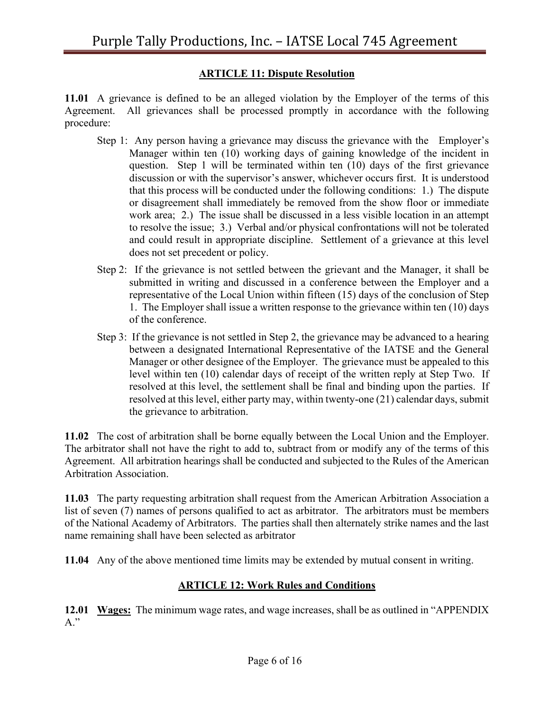#### **ARTICLE 11: Dispute Resolution**

**11.01** A grievance is defined to be an alleged violation by the Employer of the terms of this Agreement. All grievances shall be processed promptly in accordance with the following procedure:

- Step 1: Any person having a grievance may discuss the grievance with the Employer's Manager within ten (10) working days of gaining knowledge of the incident in question. Step 1 will be terminated within ten (10) days of the first grievance discussion or with the supervisor's answer, whichever occurs first. It is understood that this process will be conducted under the following conditions: 1.) The dispute or disagreement shall immediately be removed from the show floor or immediate work area; 2.) The issue shall be discussed in a less visible location in an attempt to resolve the issue; 3.) Verbal and/or physical confrontations will not be tolerated and could result in appropriate discipline. Settlement of a grievance at this level does not set precedent or policy.
- Step 2: If the grievance is not settled between the grievant and the Manager, it shall be submitted in writing and discussed in a conference between the Employer and a representative of the Local Union within fifteen (15) days of the conclusion of Step 1. The Employer shall issue a written response to the grievance within ten (10) days of the conference.
- Step 3: If the grievance is not settled in Step 2, the grievance may be advanced to a hearing between a designated International Representative of the IATSE and the General Manager or other designee of the Employer. The grievance must be appealed to this level within ten (10) calendar days of receipt of the written reply at Step Two. If resolved at this level, the settlement shall be final and binding upon the parties. If resolved at this level, either party may, within twenty-one (21) calendar days, submit the grievance to arbitration.

**11.02** The cost of arbitration shall be borne equally between the Local Union and the Employer. The arbitrator shall not have the right to add to, subtract from or modify any of the terms of this Agreement. All arbitration hearings shall be conducted and subjected to the Rules of the American Arbitration Association.

**11.03** The party requesting arbitration shall request from the American Arbitration Association a list of seven (7) names of persons qualified to act as arbitrator. The arbitrators must be members of the National Academy of Arbitrators. The parties shall then alternately strike names and the last name remaining shall have been selected as arbitrator

**11.04** Any of the above mentioned time limits may be extended by mutual consent in writing.

#### **ARTICLE 12: Work Rules and Conditions**

**12.01 Wages:** The minimum wage rates, and wage increases, shall be as outlined in "APPENDIX A."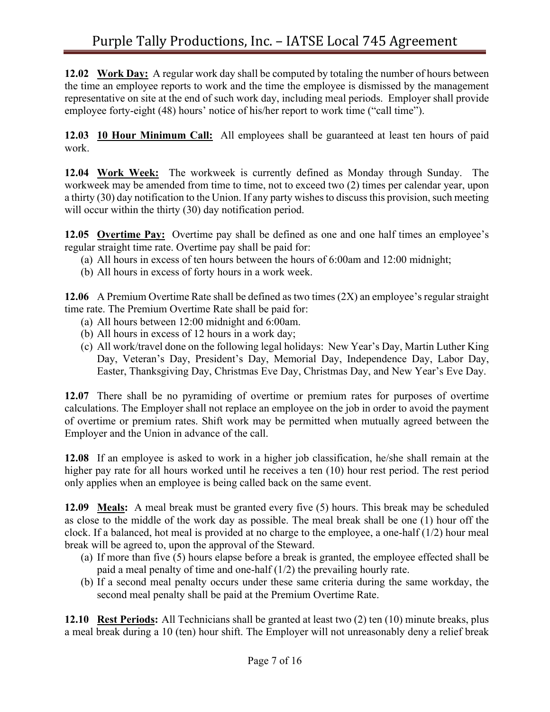**12.02 Work Day:** A regular work day shall be computed by totaling the number of hours between the time an employee reports to work and the time the employee is dismissed by the management representative on site at the end of such work day, including meal periods. Employer shall provide employee forty-eight (48) hours' notice of his/her report to work time ("call time").

**12.03 10 Hour Minimum Call:** All employees shall be guaranteed at least ten hours of paid work.

**12.04 Work Week:** The workweek is currently defined as Monday through Sunday. The workweek may be amended from time to time, not to exceed two (2) times per calendar year, upon a thirty (30) day notification to the Union. If any party wishes to discuss this provision, such meeting will occur within the thirty (30) day notification period.

**12.05 Overtime Pay:** Overtime pay shall be defined as one and one half times an employee's regular straight time rate. Overtime pay shall be paid for:

- (a) All hours in excess of ten hours between the hours of 6:00am and 12:00 midnight;
- (b) All hours in excess of forty hours in a work week.

**12.06** A Premium Overtime Rate shall be defined as two times (2X) an employee's regular straight time rate. The Premium Overtime Rate shall be paid for:

- (a) All hours between 12:00 midnight and 6:00am.
- (b) All hours in excess of 12 hours in a work day;
- (c) All work/travel done on the following legal holidays: New Year's Day, Martin Luther King Day, Veteran's Day, President's Day, Memorial Day, Independence Day, Labor Day, Easter, Thanksgiving Day, Christmas Eve Day, Christmas Day, and New Year's Eve Day.

**12.07** There shall be no pyramiding of overtime or premium rates for purposes of overtime calculations. The Employer shall not replace an employee on the job in order to avoid the payment of overtime or premium rates. Shift work may be permitted when mutually agreed between the Employer and the Union in advance of the call.

**12.08** If an employee is asked to work in a higher job classification, he/she shall remain at the higher pay rate for all hours worked until he receives a ten (10) hour rest period. The rest period only applies when an employee is being called back on the same event.

**12.09 Meals:** A meal break must be granted every five (5) hours. This break may be scheduled as close to the middle of the work day as possible. The meal break shall be one (1) hour off the clock. If a balanced, hot meal is provided at no charge to the employee, a one-half (1/2) hour meal break will be agreed to, upon the approval of the Steward.

- (a) If more than five (5) hours elapse before a break is granted, the employee effected shall be paid a meal penalty of time and one-half (1/2) the prevailing hourly rate.
- (b) If a second meal penalty occurs under these same criteria during the same workday, the second meal penalty shall be paid at the Premium Overtime Rate.

**12.10 Rest Periods:** All Technicians shall be granted at least two (2) ten (10) minute breaks, plus a meal break during a 10 (ten) hour shift. The Employer will not unreasonably deny a relief break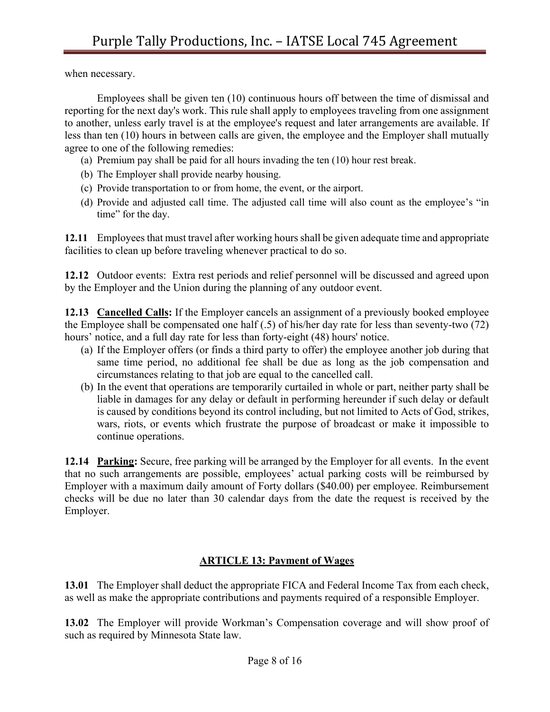when necessary.

Employees shall be given ten (10) continuous hours off between the time of dismissal and reporting for the next day's work. This rule shall apply to employees traveling from one assignment to another, unless early travel is at the employee's request and later arrangements are available. If less than ten (10) hours in between calls are given, the employee and the Employer shall mutually agree to one of the following remedies:

- (a) Premium pay shall be paid for all hours invading the ten (10) hour rest break.
- (b) The Employer shall provide nearby housing.
- (c) Provide transportation to or from home, the event, or the airport.
- (d) Provide and adjusted call time. The adjusted call time will also count as the employee's "in time" for the day.

**12.11** Employeesthat must travel after working hoursshall be given adequate time and appropriate facilities to clean up before traveling whenever practical to do so.

**12.12** Outdoor events: Extra rest periods and relief personnel will be discussed and agreed upon by the Employer and the Union during the planning of any outdoor event.

**12.13 Cancelled Calls:** If the Employer cancels an assignment of a previously booked employee the Employee shall be compensated one half (.5) of his/her day rate for less than seventy-two (72) hours' notice, and a full day rate for less than forty-eight (48) hours' notice.

- (a) If the Employer offers (or finds a third party to offer) the employee another job during that same time period, no additional fee shall be due as long as the job compensation and circumstances relating to that job are equal to the cancelled call.
- (b) In the event that operations are temporarily curtailed in whole or part, neither party shall be liable in damages for any delay or default in performing hereunder if such delay or default is caused by conditions beyond its control including, but not limited to Acts of God, strikes, wars, riots, or events which frustrate the purpose of broadcast or make it impossible to continue operations.

**12.14 Parking:** Secure, free parking will be arranged by the Employer for all events. In the event that no such arrangements are possible, employees' actual parking costs will be reimbursed by Employer with a maximum daily amount of Forty dollars (\$40.00) per employee. Reimbursement checks will be due no later than 30 calendar days from the date the request is received by the Employer.

#### **ARTICLE 13: Payment of Wages**

**13.01** The Employer shall deduct the appropriate FICA and Federal Income Tax from each check, as well as make the appropriate contributions and payments required of a responsible Employer.

**13.02** The Employer will provide Workman's Compensation coverage and will show proof of such as required by Minnesota State law.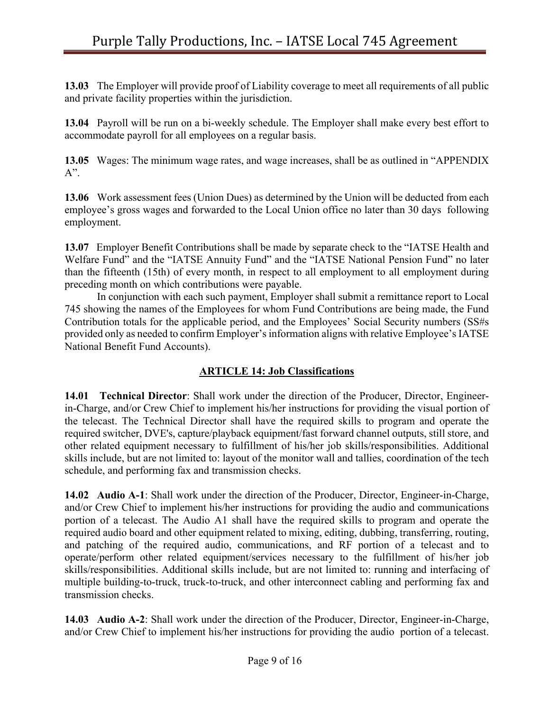**13.03** The Employer will provide proof of Liability coverage to meet all requirements of all public and private facility properties within the jurisdiction.

**13.04** Payroll will be run on a bi-weekly schedule. The Employer shall make every best effort to accommodate payroll for all employees on a regular basis.

**13.05** Wages: The minimum wage rates, and wage increases, shall be as outlined in "APPENDIX A".

**13.06** Work assessment fees (Union Dues) as determined by the Union will be deducted from each employee's gross wages and forwarded to the Local Union office no later than 30 days following employment.

**13.07** Employer Benefit Contributions shall be made by separate check to the "IATSE Health and Welfare Fund" and the "IATSE Annuity Fund" and the "IATSE National Pension Fund" no later than the fifteenth (15th) of every month, in respect to all employment to all employment during preceding month on which contributions were payable.

In conjunction with each such payment, Employer shall submit a remittance report to Local 745 showing the names of the Employees for whom Fund Contributions are being made, the Fund Contribution totals for the applicable period, and the Employees' Social Security numbers (SS#s provided only as needed to confirm Employer's information aligns with relative Employee's IATSE National Benefit Fund Accounts).

#### **ARTICLE 14: Job Classifications**

**14.01 Technical Director**: Shall work under the direction of the Producer, Director, Engineerin-Charge, and/or Crew Chief to implement his/her instructions for providing the visual portion of the telecast. The Technical Director shall have the required skills to program and operate the required switcher, DVE's, capture/playback equipment/fast forward channel outputs, still store, and other related equipment necessary to fulfillment of his/her job skills/responsibilities. Additional skills include, but are not limited to: layout of the monitor wall and tallies, coordination of the tech schedule, and performing fax and transmission checks.

**14.02 Audio A-1**: Shall work under the direction of the Producer, Director, Engineer-in-Charge, and/or Crew Chief to implement his/her instructions for providing the audio and communications portion of a telecast. The Audio A1 shall have the required skills to program and operate the required audio board and other equipment related to mixing, editing, dubbing, transferring, routing, and patching of the required audio, communications, and RF portion of a telecast and to operate/perform other related equipment/services necessary to the fulfillment of his/her job skills/responsibilities. Additional skills include, but are not limited to: running and interfacing of multiple building-to-truck, truck-to-truck, and other interconnect cabling and performing fax and transmission checks.

**14.03 Audio A-2**: Shall work under the direction of the Producer, Director, Engineer-in-Charge, and/or Crew Chief to implement his/her instructions for providing the audio portion of a telecast.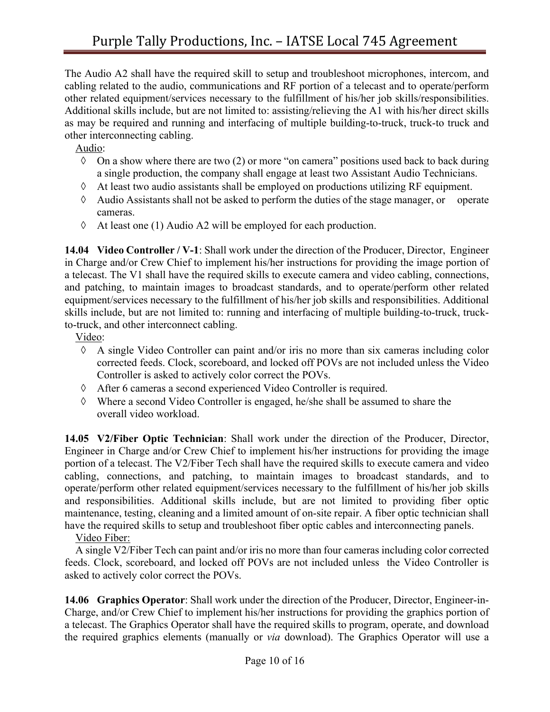The Audio A2 shall have the required skill to setup and troubleshoot microphones, intercom, and cabling related to the audio, communications and RF portion of a telecast and to operate/perform other related equipment/services necessary to the fulfillment of his/her job skills/responsibilities. Additional skills include, but are not limited to: assisting/relieving the A1 with his/her direct skills as may be required and running and interfacing of multiple building-to-truck, truck-to truck and other interconnecting cabling.

Audio:

- $\Diamond$  On a show where there are two (2) or more "on camera" positions used back to back during a single production, the company shall engage at least two Assistant Audio Technicians.
- $\Diamond$  At least two audio assistants shall be employed on productions utilizing RF equipment.
- $\Diamond$  Audio Assistants shall not be asked to perform the duties of the stage manager, or operate cameras.
- $\Diamond$  At least one (1) Audio A2 will be employed for each production.

**14.04 Video Controller / V-1**: Shall work under the direction of the Producer, Director, Engineer in Charge and/or Crew Chief to implement his/her instructions for providing the image portion of a telecast. The V1 shall have the required skills to execute camera and video cabling, connections, and patching, to maintain images to broadcast standards, and to operate/perform other related equipment/services necessary to the fulfillment of his/her job skills and responsibilities. Additional skills include, but are not limited to: running and interfacing of multiple building-to-truck, truckto-truck, and other interconnect cabling.

Video:

- $\Diamond$  A single Video Controller can paint and/or iris no more than six cameras including color corrected feeds. Clock, scoreboard, and locked off POVs are not included unless the Video Controller is asked to actively color correct the POVs.
- à After 6 cameras a second experienced Video Controller is required.
- à Where a second Video Controller is engaged, he/she shall be assumed to share the overall video workload.

**14.05 V2/Fiber Optic Technician**: Shall work under the direction of the Producer, Director, Engineer in Charge and/or Crew Chief to implement his/her instructions for providing the image portion of a telecast. The V2/Fiber Tech shall have the required skills to execute camera and video cabling, connections, and patching, to maintain images to broadcast standards, and to operate/perform other related equipment/services necessary to the fulfillment of his/her job skills and responsibilities. Additional skills include, but are not limited to providing fiber optic maintenance, testing, cleaning and a limited amount of on-site repair. A fiber optic technician shall have the required skills to setup and troubleshoot fiber optic cables and interconnecting panels.

#### Video Fiber:

 A single V2/Fiber Tech can paint and/or iris no more than four cameras including color corrected feeds. Clock, scoreboard, and locked off POVs are not included unless the Video Controller is asked to actively color correct the POVs.

**14.06 Graphics Operator**: Shall work under the direction of the Producer, Director, Engineer-in-Charge, and/or Crew Chief to implement his/her instructions for providing the graphics portion of a telecast. The Graphics Operator shall have the required skills to program, operate, and download the required graphics elements (manually or *via* download). The Graphics Operator will use a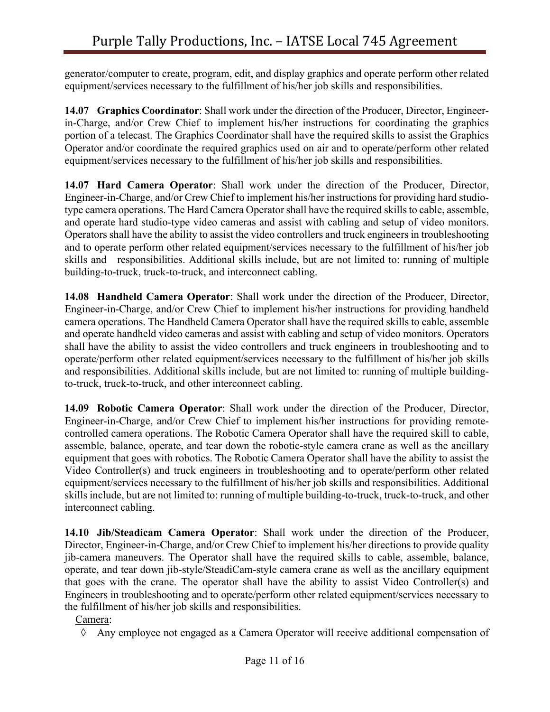generator/computer to create, program, edit, and display graphics and operate perform other related equipment/services necessary to the fulfillment of his/her job skills and responsibilities.

**14.07 Graphics Coordinator**: Shall work under the direction of the Producer, Director, Engineerin-Charge, and/or Crew Chief to implement his/her instructions for coordinating the graphics portion of a telecast. The Graphics Coordinator shall have the required skills to assist the Graphics Operator and/or coordinate the required graphics used on air and to operate/perform other related equipment/services necessary to the fulfillment of his/her job skills and responsibilities.

**14.07 Hard Camera Operator**: Shall work under the direction of the Producer, Director, Engineer-in-Charge, and/or Crew Chief to implement his/her instructions for providing hard studiotype camera operations. The Hard Camera Operator shall have the required skills to cable, assemble, and operate hard studio-type video cameras and assist with cabling and setup of video monitors. Operators shall have the ability to assist the video controllers and truck engineers in troubleshooting and to operate perform other related equipment/services necessary to the fulfillment of his/her job skills and responsibilities. Additional skills include, but are not limited to: running of multiple building-to-truck, truck-to-truck, and interconnect cabling.

**14.08 Handheld Camera Operator**: Shall work under the direction of the Producer, Director, Engineer-in-Charge, and/or Crew Chief to implement his/her instructions for providing handheld camera operations. The Handheld Camera Operator shall have the required skills to cable, assemble and operate handheld video cameras and assist with cabling and setup of video monitors. Operators shall have the ability to assist the video controllers and truck engineers in troubleshooting and to operate/perform other related equipment/services necessary to the fulfillment of his/her job skills and responsibilities. Additional skills include, but are not limited to: running of multiple buildingto-truck, truck-to-truck, and other interconnect cabling.

**14.09 Robotic Camera Operator**: Shall work under the direction of the Producer, Director, Engineer-in-Charge, and/or Crew Chief to implement his/her instructions for providing remotecontrolled camera operations. The Robotic Camera Operator shall have the required skill to cable, assemble, balance, operate, and tear down the robotic-style camera crane as well as the ancillary equipment that goes with robotics. The Robotic Camera Operator shall have the ability to assist the Video Controller(s) and truck engineers in troubleshooting and to operate/perform other related equipment/services necessary to the fulfillment of his/her job skills and responsibilities. Additional skills include, but are not limited to: running of multiple building-to-truck, truck-to-truck, and other interconnect cabling.

**14.10 Jib/Steadicam Camera Operator**: Shall work under the direction of the Producer, Director, Engineer-in-Charge, and/or Crew Chief to implement his/her directions to provide quality jib-camera maneuvers. The Operator shall have the required skills to cable, assemble, balance, operate, and tear down jib-style/SteadiCam-style camera crane as well as the ancillary equipment that goes with the crane. The operator shall have the ability to assist Video Controller(s) and Engineers in troubleshooting and to operate/perform other related equipment/services necessary to the fulfillment of his/her job skills and responsibilities.

Camera:

à Any employee not engaged as a Camera Operator will receive additional compensation of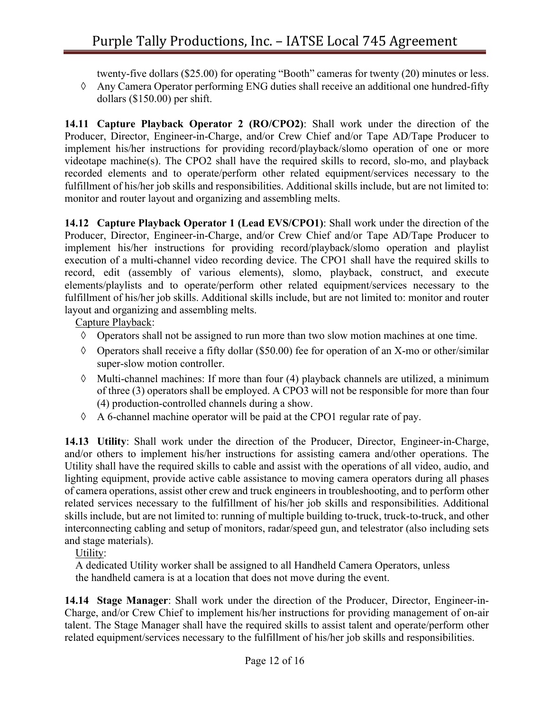twenty-five dollars (\$25.00) for operating "Booth" cameras for twenty (20) minutes or less.

à Any Camera Operator performing ENG duties shall receive an additional one hundred-fifty dollars (\$150.00) per shift.

**14.11 Capture Playback Operator 2 (RO/CPO2)**: Shall work under the direction of the Producer, Director, Engineer-in-Charge, and/or Crew Chief and/or Tape AD/Tape Producer to implement his/her instructions for providing record/playback/slomo operation of one or more videotape machine(s). The CPO2 shall have the required skills to record, slo-mo, and playback recorded elements and to operate/perform other related equipment/services necessary to the fulfillment of his/her job skills and responsibilities. Additional skills include, but are not limited to: monitor and router layout and organizing and assembling melts.

**14.12 Capture Playback Operator 1 (Lead EVS/CPO1)**: Shall work under the direction of the Producer, Director, Engineer-in-Charge, and/or Crew Chief and/or Tape AD/Tape Producer to implement his/her instructions for providing record/playback/slomo operation and playlist execution of a multi-channel video recording device. The CPO1 shall have the required skills to record, edit (assembly of various elements), slomo, playback, construct, and execute elements/playlists and to operate/perform other related equipment/services necessary to the fulfillment of his/her job skills. Additional skills include, but are not limited to: monitor and router layout and organizing and assembling melts.

Capture Playback:

- $\Diamond$  Operators shall not be assigned to run more than two slow motion machines at one time.
- $\Diamond$  Operators shall receive a fifty dollar (\$50.00) fee for operation of an X-mo or other/similar super-slow motion controller.
- $\Diamond$  Multi-channel machines: If more than four (4) playback channels are utilized, a minimum of three (3) operators shall be employed. A CPO3 will not be responsible for more than four (4) production-controlled channels during a show.
- $\Diamond$  A 6-channel machine operator will be paid at the CPO1 regular rate of pay.

**14.13 Utility**: Shall work under the direction of the Producer, Director, Engineer-in-Charge, and/or others to implement his/her instructions for assisting camera and/other operations. The Utility shall have the required skills to cable and assist with the operations of all video, audio, and lighting equipment, provide active cable assistance to moving camera operators during all phases of camera operations, assist other crew and truck engineers in troubleshooting, and to perform other related services necessary to the fulfillment of his/her job skills and responsibilities. Additional skills include, but are not limited to: running of multiple building to-truck, truck-to-truck, and other interconnecting cabling and setup of monitors, radar/speed gun, and telestrator (also including sets and stage materials).

Utility:

 A dedicated Utility worker shall be assigned to all Handheld Camera Operators, unless the handheld camera is at a location that does not move during the event.

**14.14 Stage Manager**: Shall work under the direction of the Producer, Director, Engineer-in-Charge, and/or Crew Chief to implement his/her instructions for providing management of on-air talent. The Stage Manager shall have the required skills to assist talent and operate/perform other related equipment/services necessary to the fulfillment of his/her job skills and responsibilities.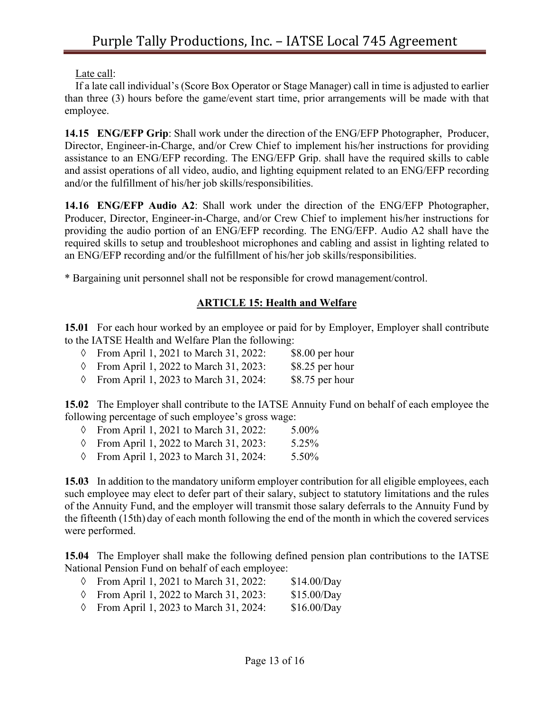Late call:

 If a late call individual's (Score Box Operator or Stage Manager) call in time is adjusted to earlier than three (3) hours before the game/event start time, prior arrangements will be made with that employee.

**14.15 ENG/EFP Grip**: Shall work under the direction of the ENG/EFP Photographer, Producer, Director, Engineer-in-Charge, and/or Crew Chief to implement his/her instructions for providing assistance to an ENG/EFP recording. The ENG/EFP Grip. shall have the required skills to cable and assist operations of all video, audio, and lighting equipment related to an ENG/EFP recording and/or the fulfillment of his/her job skills/responsibilities.

**14.16 ENG/EFP Audio A2**: Shall work under the direction of the ENG/EFP Photographer, Producer, Director, Engineer-in-Charge, and/or Crew Chief to implement his/her instructions for providing the audio portion of an ENG/EFP recording. The ENG/EFP. Audio A2 shall have the required skills to setup and troubleshoot microphones and cabling and assist in lighting related to an ENG/EFP recording and/or the fulfillment of his/her job skills/responsibilities.

\* Bargaining unit personnel shall not be responsible for crowd management/control.

## **ARTICLE 15: Health and Welfare**

**15.01** For each hour worked by an employee or paid for by Employer, Employer shall contribute to the IATSE Health and Welfare Plan the following:

| $\Diamond$ From April 1, 2021 to March 31, 2022: | $$8.00$ per hour |
|--------------------------------------------------|------------------|
| $\Diamond$ From April 1, 2022 to March 31, 2023: | \$8.25 per hour  |
| $\Diamond$ From April 1, 2023 to March 31, 2024: | \$8.75 per hour  |

**15.02** The Employer shall contribute to the IATSE Annuity Fund on behalf of each employee the following percentage of such employee's gross wage:

|  | $\Diamond$ From April 1, 2021 to March 31, 2022: |  | $5.00\%$ |
|--|--------------------------------------------------|--|----------|

- à From April 1, 2022 to March 31, 2023: 5.25%
- à From April 1, 2023 to March 31, 2024: 5.50%

**15.03** In addition to the mandatory uniform employer contribution for all eligible employees, each such employee may elect to defer part of their salary, subject to statutory limitations and the rules of the Annuity Fund, and the employer will transmit those salary deferrals to the Annuity Fund by the fifteenth (15th) day of each month following the end of the month in which the covered services were performed.

**15.04** The Employer shall make the following defined pension plan contributions to the IATSE National Pension Fund on behalf of each employee:

- à From April 1, 2021 to March 31, 2022: \$14.00/Day
- à From April 1, 2022 to March 31, 2023: \$15.00/Day
- $\circ$  From April 1, 2023 to March 31, 2024: \$16.00/Day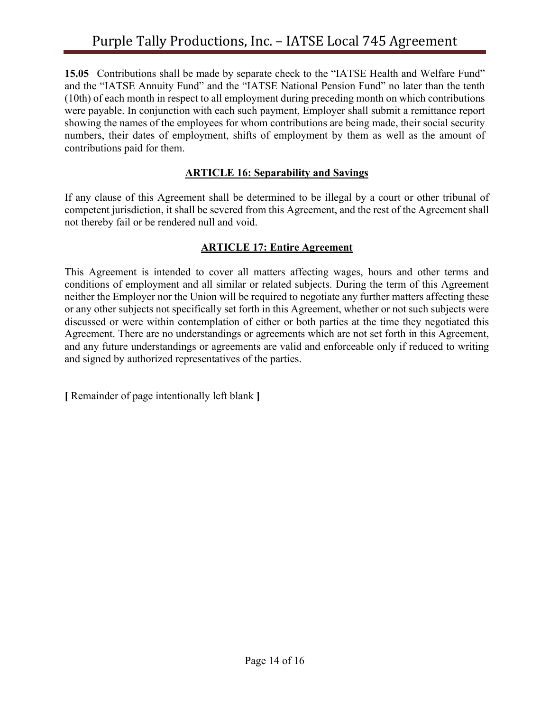**15.05** Contributions shall be made by separate check to the "IATSE Health and Welfare Fund" and the "IATSE Annuity Fund" and the "IATSE National Pension Fund" no later than the tenth (10th) of each month in respect to all employment during preceding month on which contributions were payable. In conjunction with each such payment, Employer shall submit a remittance report showing the names of the employees for whom contributions are being made, their social security numbers, their dates of employment, shifts of employment by them as well as the amount of contributions paid for them.

#### **ARTICLE 16: Separability and Savings**

If any clause of this Agreement shall be determined to be illegal by a court or other tribunal of competent jurisdiction, it shall be severed from this Agreement, and the rest of the Agreement shall not thereby fail or be rendered null and void.

#### **ARTICLE 17: Entire Agreement**

This Agreement is intended to cover all matters affecting wages, hours and other terms and conditions of employment and all similar or related subjects. During the term of this Agreement neither the Employer nor the Union will be required to negotiate any further matters affecting these or any other subjects not specifically set forth in this Agreement, whether or not such subjects were discussed or were within contemplation of either or both parties at the time they negotiated this Agreement. There are no understandings or agreements which are not set forth in this Agreement, and any future understandings or agreements are valid and enforceable only if reduced to writing and signed by authorized representatives of the parties.

**[** Remainder of page intentionally left blank **]**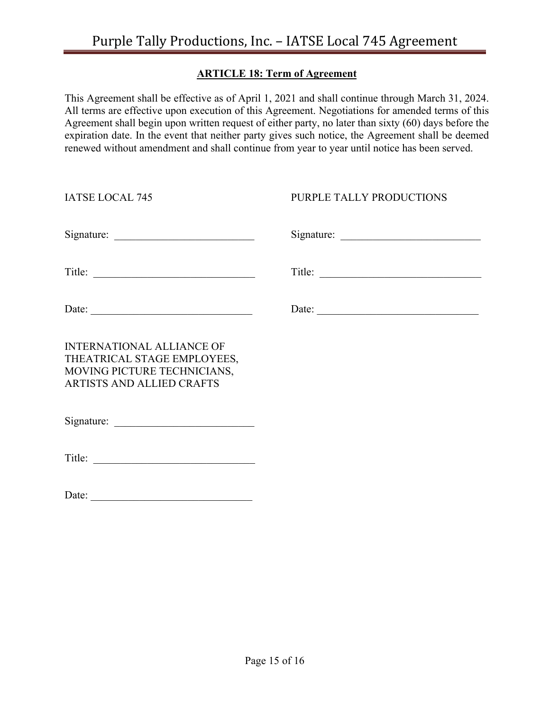## **ARTICLE 18: Term of Agreement**

This Agreement shall be effective as of April 1, 2021 and shall continue through March 31, 2024. All terms are effective upon execution of this Agreement. Negotiations for amended terms of this Agreement shall begin upon written request of either party, no later than sixty (60) days before the expiration date. In the event that neither party gives such notice, the Agreement shall be deemed renewed without amendment and shall continue from year to year until notice has been served.

| <b>IATSE LOCAL 745</b>                                                                                                      | PURPLE TALLY PRODUCTIONS |
|-----------------------------------------------------------------------------------------------------------------------------|--------------------------|
|                                                                                                                             |                          |
|                                                                                                                             | Title:                   |
| Date:                                                                                                                       | Date:                    |
| <b>INTERNATIONAL ALLIANCE OF</b><br>THEATRICAL STAGE EMPLOYEES,<br>MOVING PICTURE TECHNICIANS,<br>ARTISTS AND ALLIED CRAFTS |                          |
|                                                                                                                             |                          |
|                                                                                                                             |                          |
| Date:                                                                                                                       |                          |